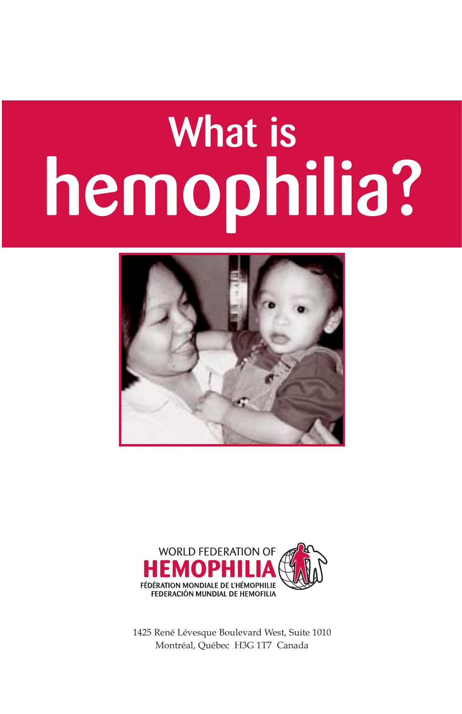# **What is hemophilia?**





1425 René Lévesque Boulevard West, Suite 1010 Montréal, Québec H3G 1T7 Canada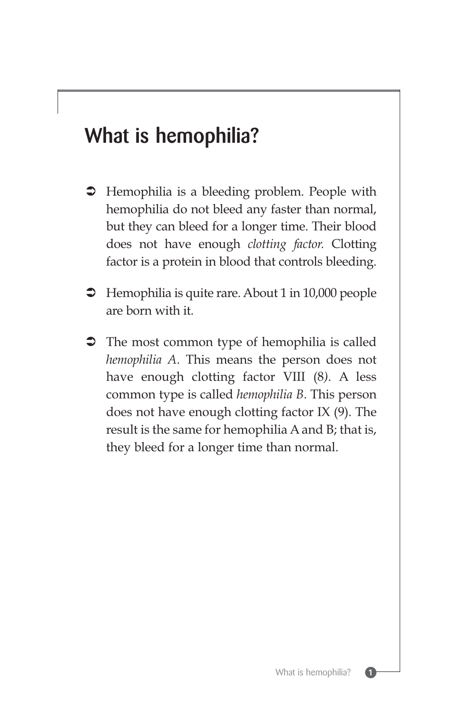## **What is hemophilia?**

- $\supset$  Hemophilia is a bleeding problem. People with hemophilia do not bleed any faster than normal, but they can bleed for a longer time. Their blood does not have enough *clotting factor.* Clotting factor is a protein in blood that controls bleeding.
- $\supset$  Hemophilia is quite rare. About 1 in 10,000 people are born with it.
- The most common type of hemophilia is called *hemophilia A*. This means the person does not have enough clotting factor VIII (8*)*. A less common type is called *hemophilia B*. This person does not have enough clotting factor IX (9). The result is the same for hemophilia A and B; that is, they bleed for a longer time than normal.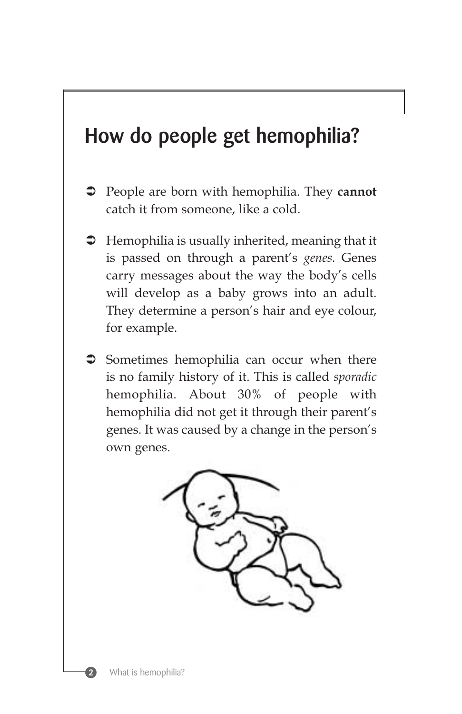## **How do people get hemophilia?**

- People are born with hemophilia. They **cannot** catch it from someone, like a cold.
- $\supset$  Hemophilia is usually inherited, meaning that it is passed on through a parent's *genes.* Genes carry messages about the way the body's cells will develop as a baby grows into an adult. They determine a person's hair and eye colour, for example.
- $\supset$  Sometimes hemophilia can occur when there is no family history of it. This is called *sporadic* hemophilia. About 30% of people with hemophilia did not get it through their parent's genes. It was caused by a change in the person's own genes.



 $\mathbf 2$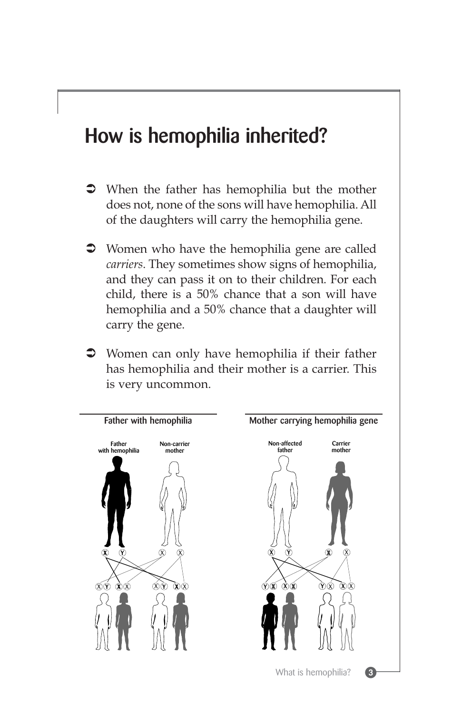## **How is hemophilia inherited?**

- When the father has hemophilia but the mother does not, none of the sons will have hemophilia. All of the daughters will carry the hemophilia gene.
- Women who have the hemophilia gene are called *carriers*. They sometimes show signs of hemophilia, and they can pass it on to their children. For each child, there is a 50% chance that a son will have hemophilia and a 50% chance that a daughter will carry the gene.
- Women can only have hemophilia if their father has hemophilia and their mother is a carrier. This is very uncommon.

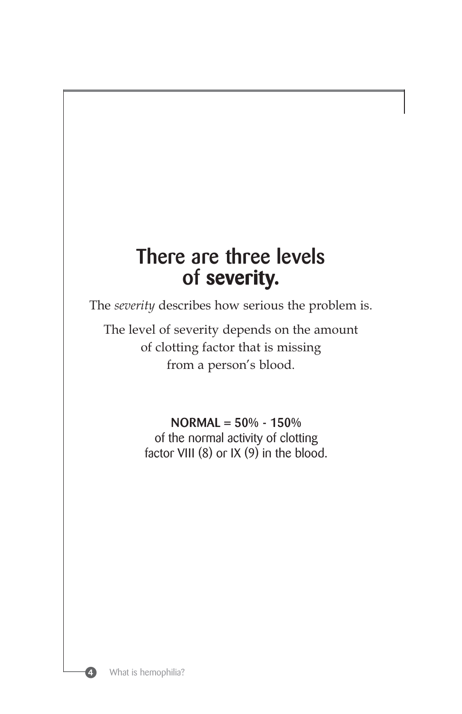## **There are three levels of severity.**

The *severity* describes how serious the problem is.

The level of severity depends on the amount of clotting factor that is missing from a person's blood.

#### **NORMAL = 50% - 150%**

of the normal activity of clotting factor VIII  $(8)$  or IX  $(9)$  in the blood.

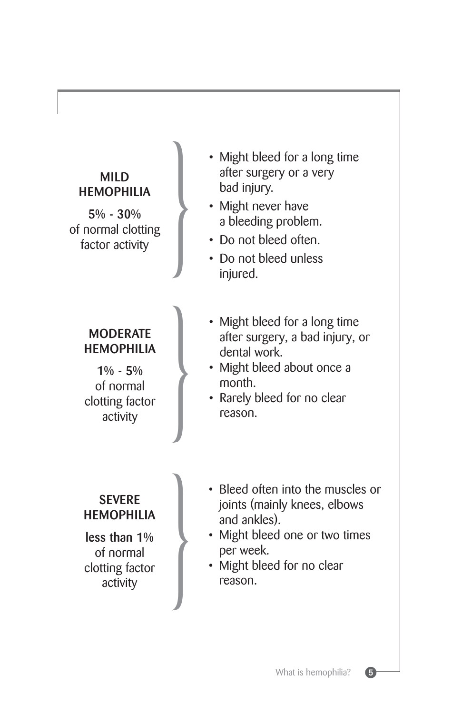#### **MILD HEMOPHILIA**

**5% - 30%** of normal clotting

#### **MODERATE HEMOPHILIA**

**1% - 5%** of normal clotting factor

- MILD<br>
HEMOPHILIA<br>
5% 30%<br>
normal clotting<br>
factor activity<br>
a bleeding problem.<br>
Do not bleed unless<br>
bond bleed unless after surgery or a very bad injury.
	- Might never have a bleeding problem.
	- Do not bleed often.
	- Do not bleed unless injured.
	- **EXECUS FOR SET SERVIFE SERVIFE SERVIFE SERVIFE SERVIFE SERVIFE SERVIFE SERVIFE SERVIFE SERVIFE SERVIFE SERVIFE SERVIFE SERVIFE SERVIFE SERVIFE SERVIFE SERVIFE SERVIFE SERVIFE SERVIFE SERVIFE SERVIFE SERVIFE SERVIFE SERVIF** after surgery, a bad injury, or dental work.
		- Might bleed about once a month.
		- Rarely bleed for no clear reason.

#### **SEVERE HEMOPHILIA**

**less than 1%** of normal clotting factor

- SEVERE<br>
MOPHILIA<br>
and ankles).<br>
f normal<br>
f normal<br>
activity<br>
activity<br>
activity<br>
activity<br>
reason. joints (mainly knees, elbows and ankles).
	- Might bleed one or two times per week.
	- Might bleed for no clear reason.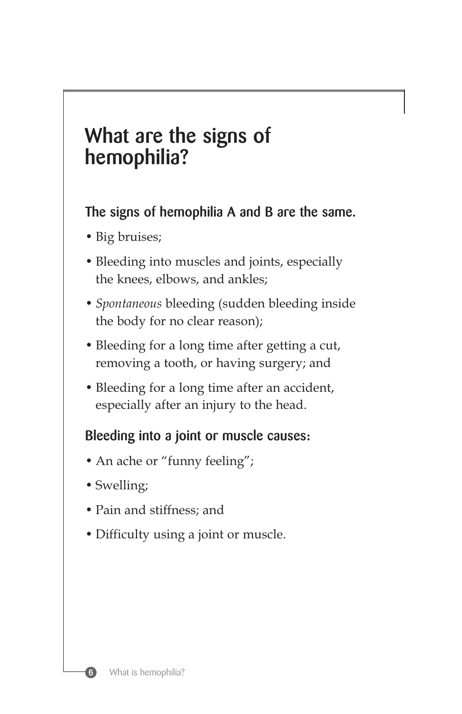## **What are the signs of hemophilia?**

**The signs of hemophilia A and B are the same.**

- Big bruises;
- Bleeding into muscles and joints, especially the knees, elbows, and ankles;
- *Spontaneous* bleeding (sudden bleeding inside the body for no clear reason);
- Bleeding for a long time after getting a cut, removing a tooth, or having surgery; and
- Bleeding for a long time after an accident, especially after an injury to the head.

#### **Bleeding into a joint or muscle causes:**

- An ache or "funny feeling";
- Swelling;
- Pain and stiffness; and
- Difficulty using a joint or muscle.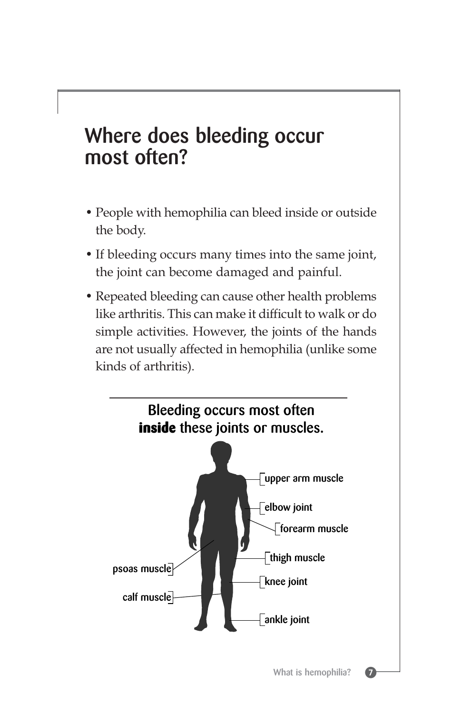## **Where does bleeding occur most often?**

- People with hemophilia can bleed inside or outside the body.
- If bleeding occurs many times into the same joint, the joint can become damaged and painful.
- Repeated bleeding can cause other health problems like arthritis. This can make it difficult to walk or do simple activities. However, the joints of the hands are not usually affected in hemophilia (unlike some kinds of arthritis).

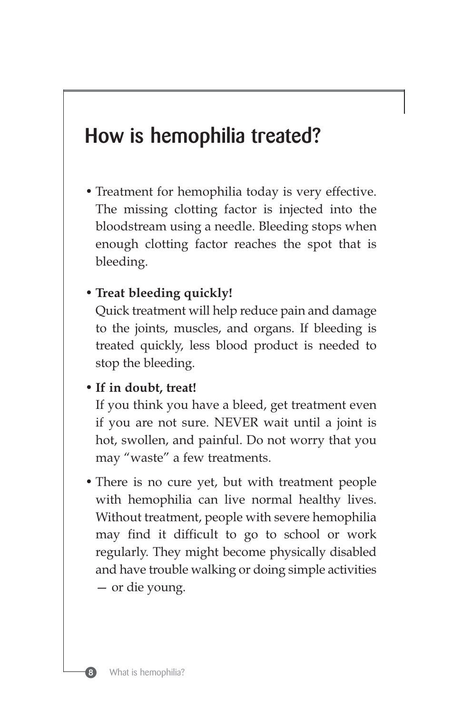## **How is hemophilia treated?**

• Treatment for hemophilia today is very effective. The missing clotting factor is injected into the bloodstream using a needle. Bleeding stops when enough clotting factor reaches the spot that is bleeding.

#### • **Treat bleeding quickly!**

Quick treatment will help reduce pain and damage to the joints, muscles, and organs. If bleeding is treated quickly, less blood product is needed to stop the bleeding.

#### • **If in doubt, treat!**

If you think you have a bleed, get treatment even if you are not sure. NEVER wait until a joint is hot, swollen, and painful. Do not worry that you may "waste" a few treatments.

• There is no cure yet, but with treatment people with hemophilia can live normal healthy lives. Without treatment, people with severe hemophilia may find it difficult to go to school or work regularly. They might become physically disabled and have trouble walking or doing simple activities — or die young.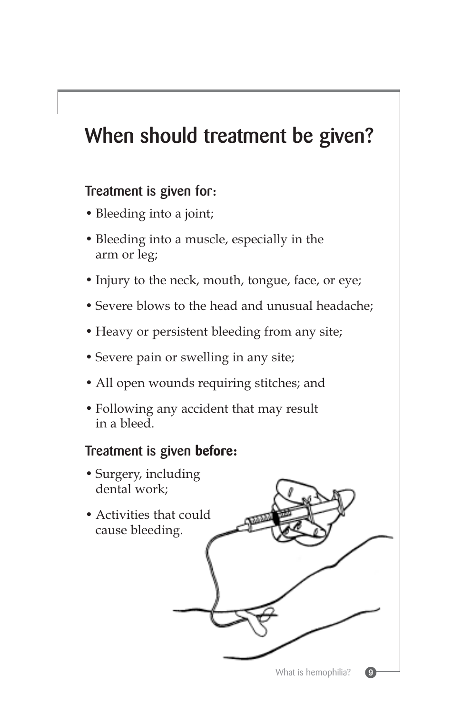## **When should treatment be given?**

#### **Treatment is given for:**

- Bleeding into a joint;
- Bleeding into a muscle, especially in the arm or leg;
- Injury to the neck, mouth, tongue, face, or eye;
- Severe blows to the head and unusual headache;
- Heavy or persistent bleeding from any site;
- Severe pain or swelling in any site;
- All open wounds requiring stitches; and
- Following any accident that may result in a bleed.

#### **Treatment is given before:**

- Surgery, including dental work;
- Activities that could cause bleeding.

What is hemophilia?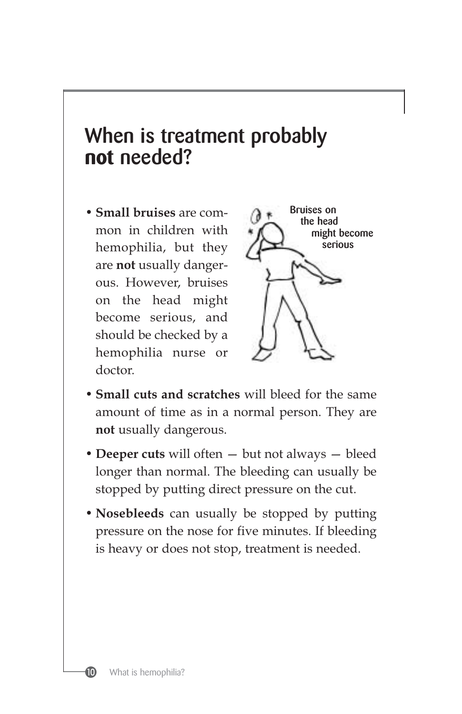## **When is treatment probably not needed?**

• **Small bruises** are common in children with hemophilia, but they are **not** usually dangerous. However, bruises on the head might become serious, and should be checked by a hemophilia nurse or doctor.



- **Small cuts and scratches** will bleed for the same amount of time as in a normal person. They are **not** usually dangerous.
- **Deeper cuts** will often but not always bleed longer than normal. The bleeding can usually be stopped by putting direct pressure on the cut.
- **Nosebleeds** can usually be stopped by putting pressure on the nose for five minutes. If bleeding is heavy or does not stop, treatment is needed.



⑩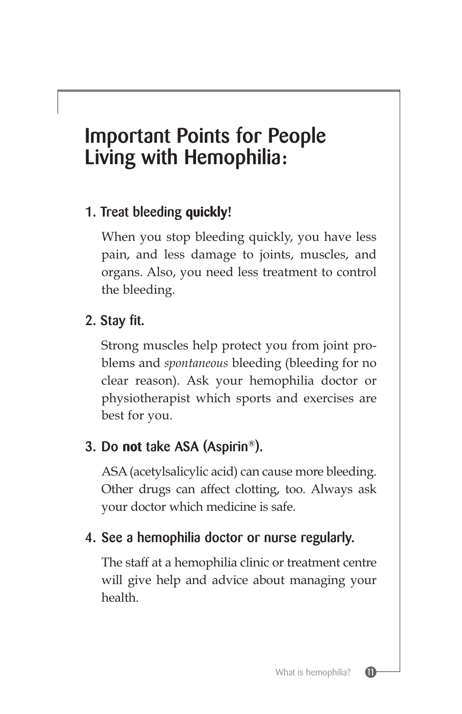## **Important Points for People Living with Hemophilia:**

## **1. Treat bleeding quickly!**

When you stop bleeding quickly, you have less pain, and less damage to joints, muscles, and organs. Also, you need less treatment to control the bleeding.

## **2. Stay fit.**

Strong muscles help protect you from joint problems and *spontaneous* bleeding (bleeding for no clear reason). Ask your hemophilia doctor or physiotherapist which sports and exercises are best for you.

## **3. Do not take ASA (Aspirin®).**

ASA (acetylsalicylic acid) can cause more bleeding. Other drugs can affect clotting, too. Always ask your doctor which medicine is safe.

## **4. See a hemophilia doctor or nurse regularly.**

The staff at a hemophilia clinic or treatment centre will give help and advice about managing your health.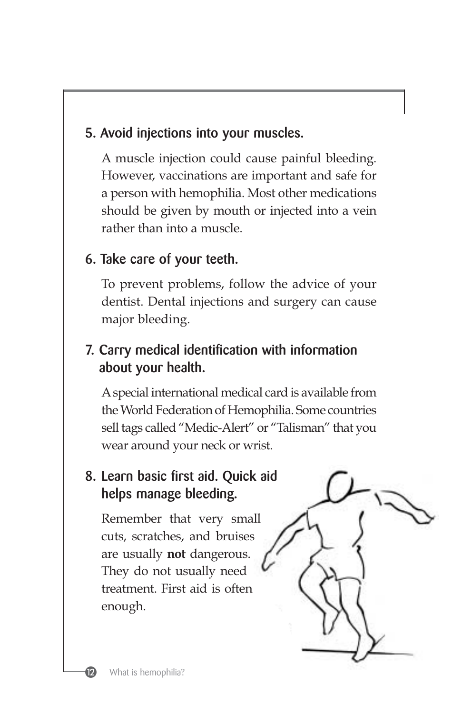## **5. Avoid injections into your muscles.**

A muscle injection could cause painful bleeding. However, vaccinations are important and safe for a person with hemophilia. Most other medications should be given by mouth or injected into a vein rather than into a muscle.

## **6. Take care of your teeth.**

To prevent problems, follow the advice of your dentist. Dental injections and surgery can cause major bleeding.

## **7. Carry medical identification with information about your health.**

Aspecial international medical card is available from the World Federation of Hemophilia. Some countries sell tags called "Medic-Alert" or "Talisman" that you wear around your neck or wrist.

## **8. Learn basic first aid. Quick aid helps manage bleeding.**

Remember that very small cuts, scratches, and bruises are usually **not** dangerous. They do not usually need treatment. First aid is often enough.